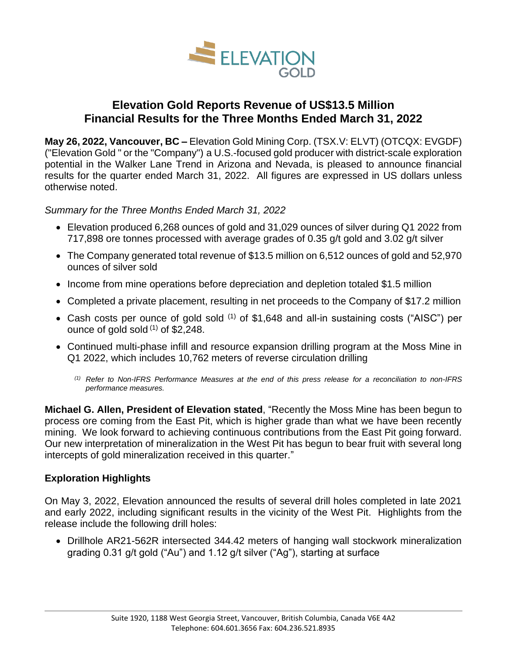

# **Elevation Gold Reports Revenue of US\$13.5 Million Financial Results for the Three Months Ended March 31, 2022**

**May 26, 2022, Vancouver, BC –** Elevation Gold Mining Corp. (TSX.V: ELVT) (OTCQX: EVGDF) ("Elevation Gold " or the "Company") a U.S.-focused gold producer with district-scale exploration potential in the Walker Lane Trend in Arizona and Nevada, is pleased to announce financial results for the quarter ended March 31, 2022. All figures are expressed in US dollars unless otherwise noted.

*Summary for the Three Months Ended March 31, 2022*

- Elevation produced 6,268 ounces of gold and 31,029 ounces of silver during Q1 2022 from 717,898 ore tonnes processed with average grades of 0.35 g/t gold and 3.02 g/t silver
- The Company generated total revenue of \$13.5 million on 6,512 ounces of gold and 52,970 ounces of silver sold
- Income from mine operations before depreciation and depletion totaled \$1.5 million
- Completed a private placement, resulting in net proceeds to the Company of \$17.2 million
- Cash costs per ounce of gold sold  $(1)$  of \$1,648 and all-in sustaining costs ("AISC") per ounce of gold sold  $(1)$  of \$2,248.
- Continued multi-phase infill and resource expansion drilling program at the Moss Mine in Q1 2022, which includes 10,762 meters of reverse circulation drilling
	- *(1) Refer to Non-IFRS Performance Measures at the end of this press release for a reconciliation to non-IFRS performance measures.*

**Michael G. Allen, President of Elevation stated**, "Recently the Moss Mine has been begun to process ore coming from the East Pit, which is higher grade than what we have been recently mining. We look forward to achieving continuous contributions from the East Pit going forward. Our new interpretation of mineralization in the West Pit has begun to bear fruit with several long intercepts of gold mineralization received in this quarter."

# **Exploration Highlights**

On May 3, 2022, Elevation announced the results of several drill holes completed in late 2021 and early 2022, including significant results in the vicinity of the West Pit. Highlights from the release include the following drill holes:

• Drillhole AR21-562R intersected 344.42 meters of hanging wall stockwork mineralization grading 0.31 g/t gold ("Au") and 1.12 g/t silver ("Ag"), starting at surface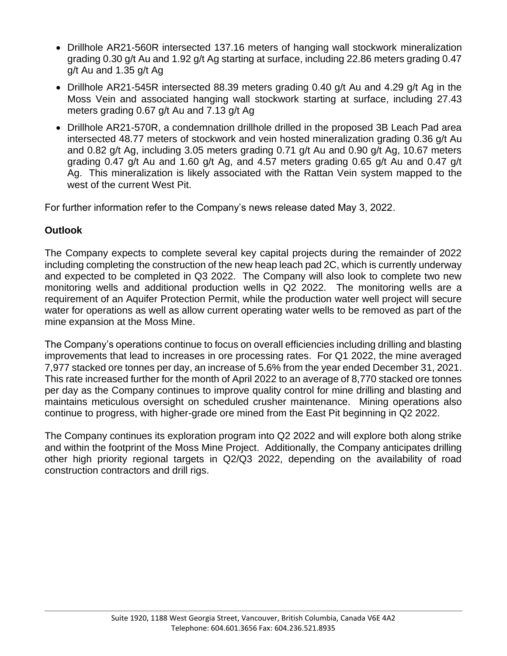- Drillhole AR21-560R intersected 137.16 meters of hanging wall stockwork mineralization grading 0.30 g/t Au and 1.92 g/t Ag starting at surface, including 22.86 meters grading 0.47 g/t Au and 1.35 g/t Ag
- Drillhole AR21-545R intersected 88.39 meters grading 0.40 g/t Au and 4.29 g/t Ag in the Moss Vein and associated hanging wall stockwork starting at surface, including 27.43 meters grading 0.67 g/t Au and 7.13 g/t Ag
- Drillhole AR21-570R, a condemnation drillhole drilled in the proposed 3B Leach Pad area intersected 48.77 meters of stockwork and vein hosted mineralization grading 0.36 g/t Au and 0.82 g/t Ag, including 3.05 meters grading 0.71 g/t Au and 0.90 g/t Ag, 10.67 meters grading 0.47 g/t Au and 1.60 g/t Ag, and 4.57 meters grading 0.65 g/t Au and 0.47 g/t Ag. This mineralization is likely associated with the Rattan Vein system mapped to the west of the current West Pit.

For further information refer to the Company's news release dated May 3, 2022.

# **Outlook**

The Company expects to complete several key capital projects during the remainder of 2022 including completing the construction of the new heap leach pad 2C, which is currently underway and expected to be completed in Q3 2022. The Company will also look to complete two new monitoring wells and additional production wells in Q2 2022. The monitoring wells are a requirement of an Aquifer Protection Permit, while the production water well project will secure water for operations as well as allow current operating water wells to be removed as part of the mine expansion at the Moss Mine.

The Company's operations continue to focus on overall efficiencies including drilling and blasting improvements that lead to increases in ore processing rates. For Q1 2022, the mine averaged 7,977 stacked ore tonnes per day, an increase of 5.6% from the year ended December 31, 2021. This rate increased further for the month of April 2022 to an average of 8,770 stacked ore tonnes per day as the Company continues to improve quality control for mine drilling and blasting and maintains meticulous oversight on scheduled crusher maintenance. Mining operations also continue to progress, with higher-grade ore mined from the East Pit beginning in Q2 2022.

The Company continues its exploration program into Q2 2022 and will explore both along strike and within the footprint of the Moss Mine Project. Additionally, the Company anticipates drilling other high priority regional targets in Q2/Q3 2022, depending on the availability of road construction contractors and drill rigs.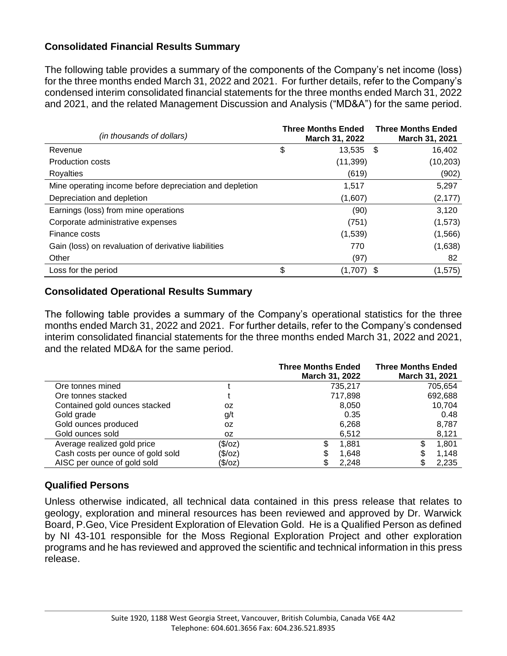# **Consolidated Financial Results Summary**

The following table provides a summary of the components of the Company's net income (loss) for the three months ended March 31, 2022 and 2021. For further details, refer to the Company's condensed interim consolidated financial statements for the three months ended March 31, 2022 and 2021, and the related Management Discussion and Analysis ("MD&A") for the same period.

| (in thousands of dollars)                               | <b>Three Months Ended</b><br>March 31, 2022 |              | <b>Three Months Ended</b><br>March 31, 2021 |
|---------------------------------------------------------|---------------------------------------------|--------------|---------------------------------------------|
| Revenue                                                 | \$                                          | $13,535$ \$  | 16,402                                      |
| <b>Production costs</b>                                 |                                             | (11, 399)    | (10, 203)                                   |
| Royalties                                               |                                             | (619)        | (902)                                       |
| Mine operating income before depreciation and depletion |                                             | 1,517        | 5,297                                       |
| Depreciation and depletion                              |                                             | (1,607)      | (2, 177)                                    |
| Earnings (loss) from mine operations                    |                                             | (90)         | 3,120                                       |
| Corporate administrative expenses                       |                                             | (751)        | (1, 573)                                    |
| Finance costs                                           |                                             | (1,539)      | (1,566)                                     |
| Gain (loss) on revaluation of derivative liabilities    |                                             | 770          | (1,638)                                     |
| Other                                                   |                                             | (97)         | 82                                          |
| Loss for the period                                     | \$                                          | $(1,707)$ \$ | (1, 575)                                    |

#### **Consolidated Operational Results Summary**

The following table provides a summary of the Company's operational statistics for the three months ended March 31, 2022 and 2021. For further details, refer to the Company's condensed interim consolidated financial statements for the three months ended March 31, 2022 and 2021, and the related MD&A for the same period.

|                                   |         | <b>Three Months Ended</b><br>March 31, 2022 | <b>Three Months Ended</b><br>March 31, 2021 |
|-----------------------------------|---------|---------------------------------------------|---------------------------------------------|
| Ore tonnes mined                  |         | 735,217                                     | 705,654                                     |
| Ore tonnes stacked                |         | 717,898                                     | 692,688                                     |
| Contained gold ounces stacked     | 0Z      | 8,050                                       | 10.704                                      |
| Gold grade                        | g/t     | 0.35                                        | 0.48                                        |
| Gold ounces produced              | 0Z      | 6,268                                       | 8,787                                       |
| Gold ounces sold                  | 0Z      | 6,512                                       | 8,121                                       |
| Average realized gold price       | (\$/oz) | 1,881                                       | 1,801<br>S                                  |
| Cash costs per ounce of gold sold | (\$/oz) | 1,648                                       | 1,148<br>S                                  |
| AISC per ounce of gold sold       | (\$/oz) | 2,248                                       | 2,235<br>S                                  |

# **Qualified Persons**

Unless otherwise indicated, all technical data contained in this press release that relates to geology, exploration and mineral resources has been reviewed and approved by Dr. Warwick Board, P.Geo, Vice President Exploration of Elevation Gold. He is a Qualified Person as defined by NI 43-101 responsible for the Moss Regional Exploration Project and other exploration programs and he has reviewed and approved the scientific and technical information in this press release.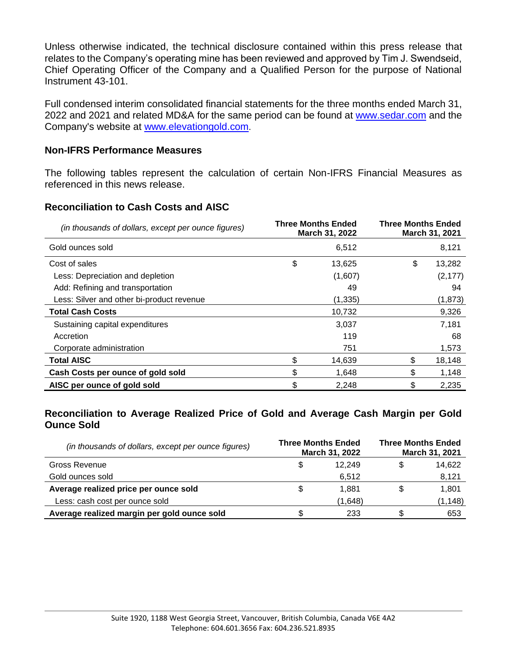Unless otherwise indicated, the technical disclosure contained within this press release that relates to the Company's operating mine has been reviewed and approved by Tim J. Swendseid, Chief Operating Officer of the Company and a Qualified Person for the purpose of National Instrument 43-101.

Full condensed interim consolidated financial statements for the three months ended March 31, 2022 and 2021 and related MD&A for the same period can be found at [www.sedar.com](http://www.sedar.com/) and the Company's website at [www.elevationgold.com](http://www.elevationgold.com/).

#### **Non-IFRS Performance Measures**

The following tables represent the calculation of certain Non-IFRS Financial Measures as referenced in this news release.

# **Reconciliation to Cash Costs and AISC**

| (in thousands of dollars, except per ounce figures) | <b>Three Months Ended</b><br>March 31, 2022 |         | <b>Three Months Ended</b><br>March 31, 2021 |          |  |
|-----------------------------------------------------|---------------------------------------------|---------|---------------------------------------------|----------|--|
| Gold ounces sold                                    |                                             | 6,512   |                                             | 8,121    |  |
| Cost of sales                                       | \$                                          | 13,625  | \$                                          | 13,282   |  |
| Less: Depreciation and depletion                    |                                             | (1,607) |                                             | (2, 177) |  |
| Add: Refining and transportation                    |                                             | 49      |                                             | 94       |  |
| Less: Silver and other bi-product revenue           |                                             | (1,335) |                                             | (1, 873) |  |
| <b>Total Cash Costs</b>                             |                                             | 10,732  |                                             | 9,326    |  |
| Sustaining capital expenditures                     |                                             | 3,037   |                                             | 7,181    |  |
| Accretion                                           |                                             | 119     |                                             | 68       |  |
| Corporate administration                            |                                             | 751     |                                             | 1,573    |  |
| <b>Total AISC</b>                                   | \$                                          | 14,639  | \$                                          | 18,148   |  |
| Cash Costs per ounce of gold sold                   | \$                                          | 1,648   | \$                                          | 1,148    |  |
| AISC per ounce of gold sold                         | \$                                          | 2,248   | \$                                          | 2,235    |  |

#### **Reconciliation to Average Realized Price of Gold and Average Cash Margin per Gold Ounce Sold**

| (in thousands of dollars, except per ounce figures) | <b>Three Months Ended</b><br>March 31, 2022 |         | <b>Three Months Ended</b><br>March 31, 2021 |          |
|-----------------------------------------------------|---------------------------------------------|---------|---------------------------------------------|----------|
| Gross Revenue                                       | S                                           | 12.249  |                                             | 14,622   |
| Gold ounces sold                                    |                                             | 6,512   |                                             | 8,121    |
| Average realized price per ounce sold               | S                                           | 1.881   |                                             | 1.801    |
| Less: cash cost per ounce sold                      |                                             | (1,648) |                                             | (1, 148) |
| Average realized margin per gold ounce sold         |                                             | 233     |                                             | 653      |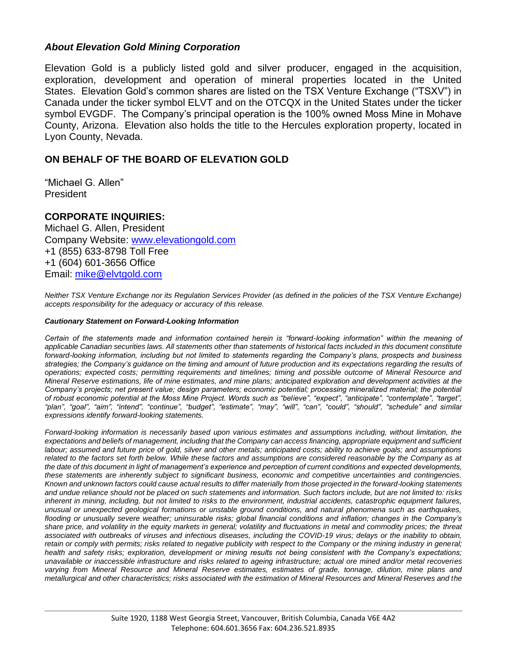#### *About Elevation Gold Mining Corporation*

Elevation Gold is a publicly listed gold and silver producer, engaged in the acquisition, exploration, development and operation of mineral properties located in the United States. Elevation Gold's common shares are listed on the TSX Venture Exchange ("TSXV") in Canada under the ticker symbol ELVT and on the OTCQX in the United States under the ticker symbol EVGDF. The Company's principal operation is the 100% owned Moss Mine in Mohave County, Arizona. Elevation also holds the title to the Hercules exploration property, located in Lyon County, Nevada.

# **ON BEHALF OF THE BOARD OF ELEVATION GOLD**

"Michael G. Allen" President

#### **CORPORATE INQUIRIES:**

Michael G. Allen, President Company Website: [www.elevationgold.com](http://www.elevationgold.com/) +1 (855) 633-8798 Toll Free +1 (604) 601-3656 Office Email: [mike@elvtgold.com](mailto:mike@elvtgold.com)

*Neither TSX Venture Exchange nor its Regulation Services Provider (as defined in the policies of the TSX Venture Exchange) accepts responsibility for the adequacy or accuracy of this release.*

#### *Cautionary Statement on Forward-Looking Information*

*Certain of the statements made and information contained herein is "forward-looking information" within the meaning of applicable Canadian securities laws. All statements other than statements of historical facts included in this document constitute forward-looking information, including but not limited to statements regarding the Company's plans, prospects and business strategies; the Company's guidance on the timing and amount of future production and its expectations regarding the results of operations; expected costs; permitting requirements and timelines; timing and possible outcome of Mineral Resource and Mineral Reserve estimations, life of mine estimates, and mine plans; anticipated exploration and development activities at the Company's projects; net present value; design parameters; economic potential; processing mineralized material; the potential of robust economic potential at the Moss Mine Project. Words such as "believe", "expect", "anticipate", "contemplate", "target", "plan", "goal", "aim", "intend", "continue", "budget", "estimate", "may", "will", "can", "could", "should", "schedule" and similar expressions identify forward-looking statements.*

*Forward-looking information is necessarily based upon various estimates and assumptions including, without limitation, the expectations and beliefs of management, including that the Company can access financing, appropriate equipment and sufficient labour; assumed and future price of gold, silver and other metals; anticipated costs; ability to achieve goals; and assumptions related to the factors set forth below. While these factors and assumptions are considered reasonable by the Company as at the date of this document in light of management's experience and perception of current conditions and expected developments, these statements are inherently subject to significant business, economic and competitive uncertainties and contingencies. Known and unknown factors could cause actual results to differ materially from those projected in the forward-looking statements and undue reliance should not be placed on such statements and information. Such factors include, but are not limited to: risks inherent in mining, including, but not limited to risks to the environment, industrial accidents, catastrophic equipment failures, unusual or unexpected geological formations or unstable ground conditions, and natural phenomena such as earthquakes, flooding or unusually severe weather; uninsurable risks; global financial conditions and inflation; changes in the Company's share price, and volatility in the equity markets in general; volatility and fluctuations in metal and commodity prices; the threat associated with outbreaks of viruses and infectious diseases, including the COVID-19 virus; delays or the inability to obtain, retain or comply with permits; risks related to negative publicity with respect to the Company or the mining industry in general; health and safety risks; exploration, development or mining results not being consistent with the Company's expectations; unavailable or inaccessible infrastructure and risks related to ageing infrastructure; actual ore mined and/or metal recoveries varying from Mineral Resource and Mineral Reserve estimates, estimates of grade, tonnage, dilution, mine plans and metallurgical and other characteristics; risks associated with the estimation of Mineral Resources and Mineral Reserves and the*